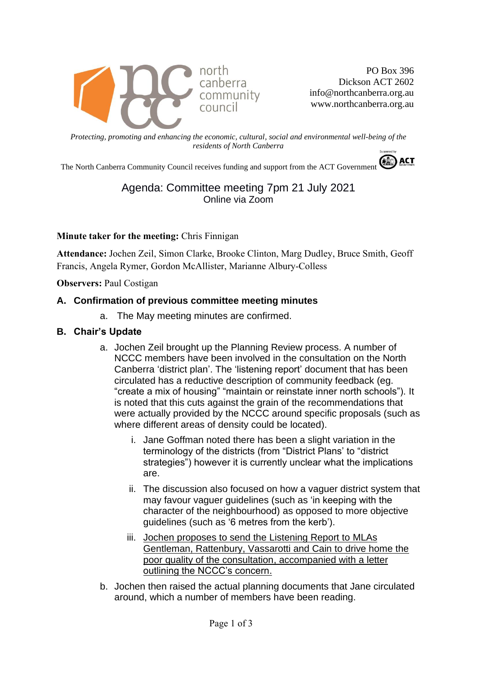

PO Box 396 Dickson ACT 2602 info@northcanberra.org.au www.northcanberra.org.au

*Protecting, promoting and enhancing the economic, cultural, social and environmental well-being of the residents of North Canberra*

The North Canberra Community Council receives funding and support from the ACT Government

## Agenda: Committee meeting 7pm 21 July 2021 Online via Zoom

#### **Minute taker for the meeting:** Chris Finnigan

**Attendance:** Jochen Zeil, Simon Clarke, Brooke Clinton, Marg Dudley, Bruce Smith, Geoff Francis, Angela Rymer, Gordon McAllister, Marianne Albury-Colless

**Observers: Paul Costigan** 

#### **A. Confirmation of previous committee meeting minutes**

a. The May meeting minutes are confirmed.

#### **B. Chair's Update**

- a. Jochen Zeil brought up the Planning Review process. A number of NCCC members have been involved in the consultation on the North Canberra 'district plan'. The 'listening report' document that has been circulated has a reductive description of community feedback (eg. "create a mix of housing" "maintain or reinstate inner north schools"). It is noted that this cuts against the grain of the recommendations that were actually provided by the NCCC around specific proposals (such as where different areas of density could be located).
	- i. Jane Goffman noted there has been a slight variation in the terminology of the districts (from "District Plans' to "district strategies") however it is currently unclear what the implications are.
	- ii. The discussion also focused on how a vaguer district system that may favour vaguer guidelines (such as 'in keeping with the character of the neighbourhood) as opposed to more objective guidelines (such as '6 metres from the kerb').
	- iii. Jochen proposes to send the Listening Report to MLAs Gentleman, Rattenbury, Vassarotti and Cain to drive home the poor quality of the consultation, accompanied with a letter outlining the NCCC's concern.
- b. Jochen then raised the actual planning documents that Jane circulated around, which a number of members have been reading.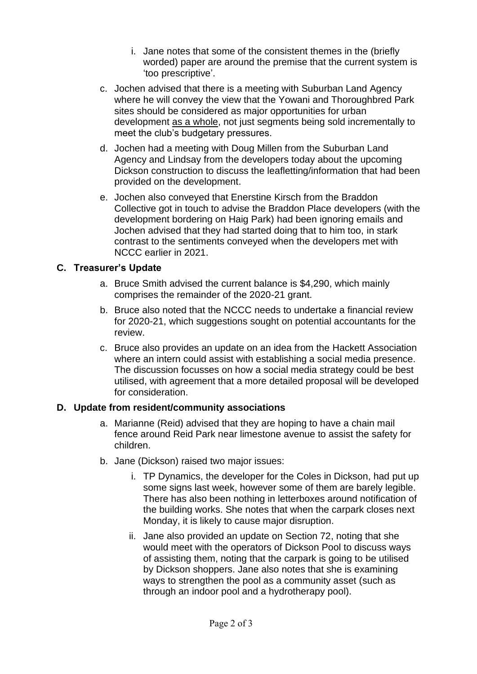- i. Jane notes that some of the consistent themes in the (briefly worded) paper are around the premise that the current system is 'too prescriptive'.
- c. Jochen advised that there is a meeting with Suburban Land Agency where he will convey the view that the Yowani and Thoroughbred Park sites should be considered as major opportunities for urban development as a whole, not just segments being sold incrementally to meet the club's budgetary pressures.
- d. Jochen had a meeting with Doug Millen from the Suburban Land Agency and Lindsay from the developers today about the upcoming Dickson construction to discuss the leafletting/information that had been provided on the development.
- e. Jochen also conveyed that Enerstine Kirsch from the Braddon Collective got in touch to advise the Braddon Place developers (with the development bordering on Haig Park) had been ignoring emails and Jochen advised that they had started doing that to him too, in stark contrast to the sentiments conveyed when the developers met with NCCC earlier in 2021.

## **C. Treasurer's Update**

- a. Bruce Smith advised the current balance is \$4,290, which mainly comprises the remainder of the 2020-21 grant.
- b. Bruce also noted that the NCCC needs to undertake a financial review for 2020-21, which suggestions sought on potential accountants for the review.
- c. Bruce also provides an update on an idea from the Hackett Association where an intern could assist with establishing a social media presence. The discussion focusses on how a social media strategy could be best utilised, with agreement that a more detailed proposal will be developed for consideration.

## **D. Update from resident/community associations**

- a. Marianne (Reid) advised that they are hoping to have a chain mail fence around Reid Park near limestone avenue to assist the safety for children.
- b. Jane (Dickson) raised two major issues:
	- i. TP Dynamics, the developer for the Coles in Dickson, had put up some signs last week, however some of them are barely legible. There has also been nothing in letterboxes around notification of the building works. She notes that when the carpark closes next Monday, it is likely to cause major disruption.
	- ii. Jane also provided an update on Section 72, noting that she would meet with the operators of Dickson Pool to discuss ways of assisting them, noting that the carpark is going to be utilised by Dickson shoppers. Jane also notes that she is examining ways to strengthen the pool as a community asset (such as through an indoor pool and a hydrotherapy pool).